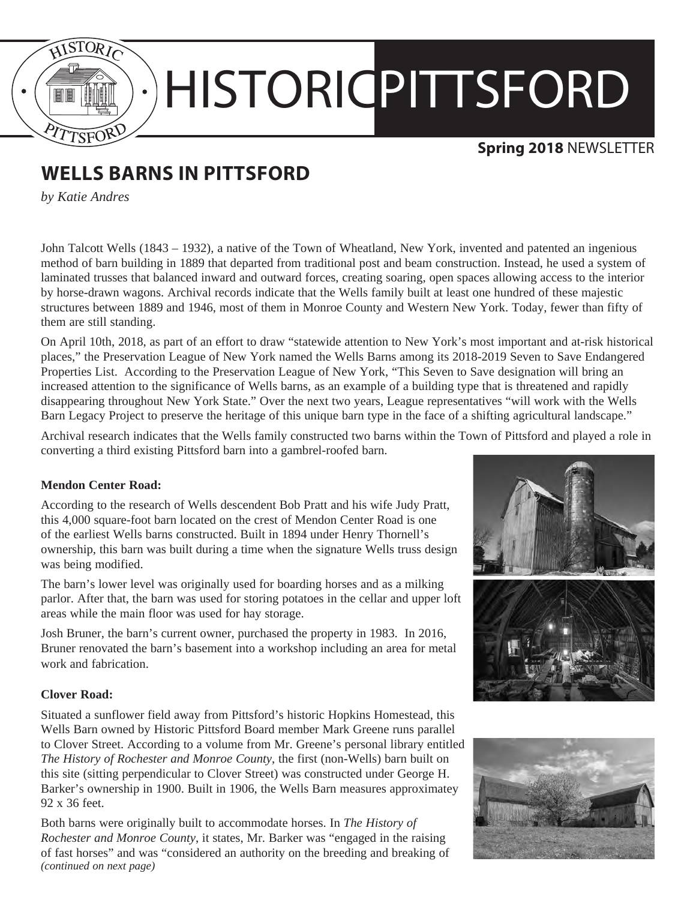

# HISTORICPITTSFORD

## **Spring 2018** NEWSLETTER

# **WELLS BARNS IN PITTSFORD**

*by Katie Andres*

John Talcott Wells (1843 – 1932), a native of the Town of Wheatland, New York, invented and patented an ingenious method of barn building in 1889 that departed from traditional post and beam construction. Instead, he used a system of laminated trusses that balanced inward and outward forces, creating soaring, open spaces allowing access to the interior by horse-drawn wagons. Archival records indicate that the Wells family built at least one hundred of these majestic structures between 1889 and 1946, most of them in Monroe County and Western New York. Today, fewer than fifty of them are still standing.

On April 10th, 2018, as part of an effort to draw "statewide attention to New York's most important and at-risk historical places," the Preservation League of New York named the Wells Barns among its 2018-2019 Seven to Save Endangered Properties List. According to the Preservation League of New York, "This Seven to Save designation will bring an increased attention to the significance of Wells barns, as an example of a building type that is threatened and rapidly disappearing throughout New York State." Over the next two years, League representatives "will work with the Wells Barn Legacy Project to preserve the heritage of this unique barn type in the face of a shifting agricultural landscape."

Archival research indicates that the Wells family constructed two barns within the Town of Pittsford and played a role in converting a third existing Pittsford barn into a gambrel-roofed barn.

## **Mendon Center Road:**

According to the research of Wells descendent Bob Pratt and his wife Judy Pratt, this 4,000 square-foot barn located on the crest of Mendon Center Road is one of the earliest Wells barns constructed. Built in 1894 under Henry Thornell's ownership, this barn was built during a time when the signature Wells truss design was being modified.

The barn's lower level was originally used for boarding horses and as a milking parlor. After that, the barn was used for storing potatoes in the cellar and upper loft areas while the main floor was used for hay storage.

Josh Bruner, the barn's current owner, purchased the property in 1983. In 2016, Bruner renovated the barn's basement into a workshop including an area for metal work and fabrication.

## **Clover Road:**

Situated a sunflower field away from Pittsford's historic Hopkins Homestead, this Wells Barn owned by Historic Pittsford Board member Mark Greene runs parallel to Clover Street. According to a volume from Mr. Greene's personal library entitled *The History of Rochester and Monroe County*, the first (non-Wells) barn built on this site (sitting perpendicular to Clover Street) was constructed under George H. Barker's ownership in 1900. Built in 1906, the Wells Barn measures approximatey 92 x 36 feet.

Both barns were originally built to accommodate horses. In *The History of Rochester and Monroe County*, it states, Mr. Barker was "engaged in the raising of fast horses" and was "considered an authority on the breeding and breaking of *(continued on next page)*



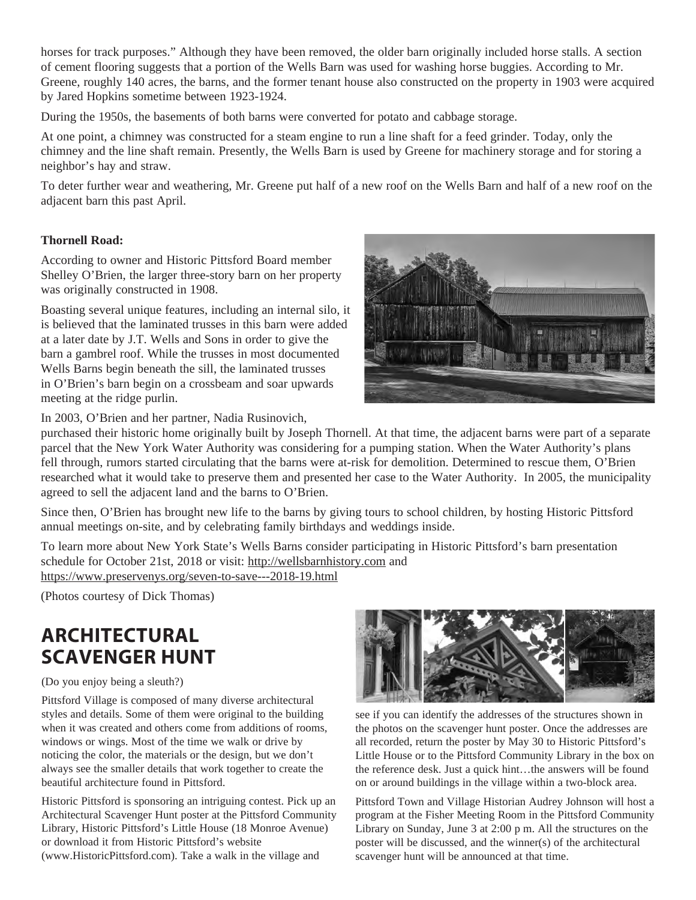horses for track purposes." Although they have been removed, the older barn originally included horse stalls. A section of cement flooring suggests that a portion of the Wells Barn was used for washing horse buggies. According to Mr. Greene, roughly 140 acres, the barns, and the former tenant house also constructed on the property in 1903 were acquired by Jared Hopkins sometime between 1923-1924.

During the 1950s, the basements of both barns were converted for potato and cabbage storage.

At one point, a chimney was constructed for a steam engine to run a line shaft for a feed grinder. Today, only the chimney and the line shaft remain. Presently, the Wells Barn is used by Greene for machinery storage and for storing a neighbor's hay and straw.

To deter further wear and weathering, Mr. Greene put half of a new roof on the Wells Barn and half of a new roof on the adjacent barn this past April.

## **Thornell Road:**

According to owner and Historic Pittsford Board member Shelley O'Brien, the larger three-story barn on her property was originally constructed in 1908.

Boasting several unique features, including an internal silo, it is believed that the laminated trusses in this barn were added at a later date by J.T. Wells and Sons in order to give the barn a gambrel roof. While the trusses in most documented Wells Barns begin beneath the sill, the laminated trusses in O'Brien's barn begin on a crossbeam and soar upwards meeting at the ridge purlin.



In 2003, O'Brien and her partner, Nadia Rusinovich,

purchased their historic home originally built by Joseph Thornell. At that time, the adjacent barns were part of a separate parcel that the New York Water Authority was considering for a pumping station. When the Water Authority's plans fell through, rumors started circulating that the barns were at-risk for demolition. Determined to rescue them, O'Brien researched what it would take to preserve them and presented her case to the Water Authority. In 2005, the municipality agreed to sell the adjacent land and the barns to O'Brien.

Since then, O'Brien has brought new life to the barns by giving tours to school children, by hosting Historic Pittsford annual meetings on-site, and by celebrating family birthdays and weddings inside.

To learn more about New York State's Wells Barns consider participating in Historic Pittsford's barn presentation schedule for October 21st, 2018 or visit: http://wellsbarnhistory.com and https://www.preservenys.org/seven-to-save---2018-19.html

(Photos courtesy of Dick Thomas)

# **ARCHITECTURAL SCAVENGER HUNT**

(Do you enjoy being a sleuth?)

Pittsford Village is composed of many diverse architectural styles and details. Some of them were original to the building when it was created and others come from additions of rooms, windows or wings. Most of the time we walk or drive by noticing the color, the materials or the design, but we don't always see the smaller details that work together to create the beautiful architecture found in Pittsford.

Historic Pittsford is sponsoring an intriguing contest. Pick up an Architectural Scavenger Hunt poster at the Pittsford Community Library, Historic Pittsford's Little House (18 Monroe Avenue) or download it from Historic Pittsford's website (www.HistoricPittsford.com). Take a walk in the village and



see if you can identify the addresses of the structures shown in the photos on the scavenger hunt poster. Once the addresses are all recorded, return the poster by May 30 to Historic Pittsford's Little House or to the Pittsford Community Library in the box on the reference desk. Just a quick hint…the answers will be found on or around buildings in the village within a two-block area.

Pittsford Town and Village Historian Audrey Johnson will host a program at the Fisher Meeting Room in the Pittsford Community Library on Sunday, June 3 at 2:00 p m. All the structures on the poster will be discussed, and the winner(s) of the architectural scavenger hunt will be announced at that time.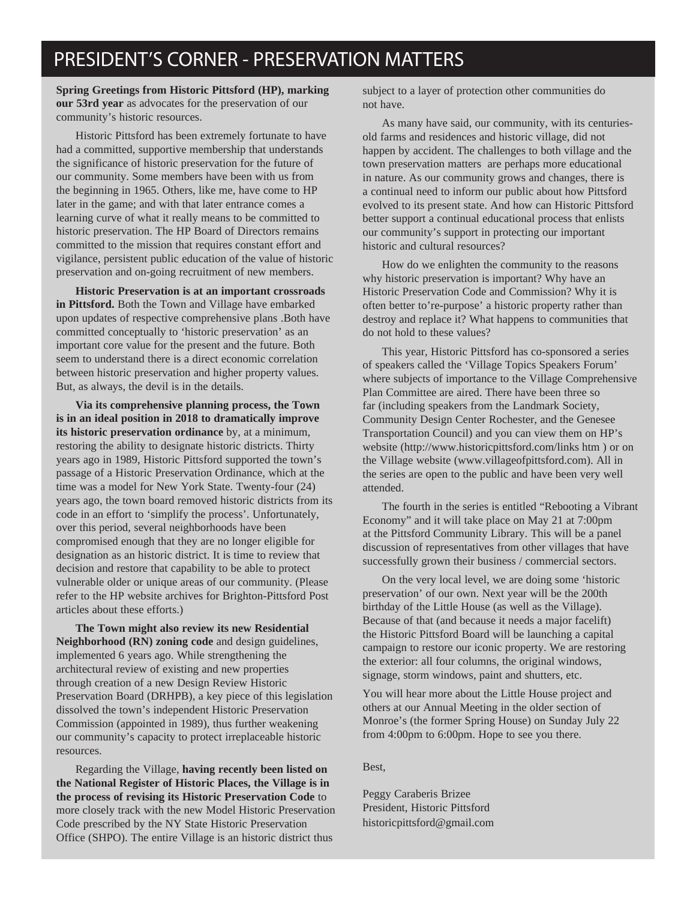## PRESIDENT'S CORNER - PRESERVATION MATTERS

**Spring Greetings from Historic Pittsford (HP), marking our 53rd year** as advocates for the preservation of our community's historic resources.

Historic Pittsford has been extremely fortunate to have had a committed, supportive membership that understands the significance of historic preservation for the future of our community. Some members have been with us from the beginning in 1965. Others, like me, have come to HP later in the game; and with that later entrance comes a learning curve of what it really means to be committed to historic preservation. The HP Board of Directors remains committed to the mission that requires constant effort and vigilance, persistent public education of the value of historic preservation and on-going recruitment of new members.

**Historic Preservation is at an important crossroads in Pittsford.** Both the Town and Village have embarked upon updates of respective comprehensive plans .Both have committed conceptually to 'historic preservation' as an important core value for the present and the future. Both seem to understand there is a direct economic correlation between historic preservation and higher property values. But, as always, the devil is in the details.

**Via its comprehensive planning process, the Town is in an ideal position in 2018 to dramatically improve its historic preservation ordinance** by, at a minimum, restoring the ability to designate historic districts. Thirty years ago in 1989, Historic Pittsford supported the town's passage of a Historic Preservation Ordinance, which at the time was a model for New York State. Twenty-four (24) years ago, the town board removed historic districts from its code in an effort to 'simplify the process'. Unfortunately, over this period, several neighborhoods have been compromised enough that they are no longer eligible for designation as an historic district. It is time to review that decision and restore that capability to be able to protect vulnerable older or unique areas of our community. (Please refer to the HP website archives for Brighton-Pittsford Post articles about these efforts.)

**The Town might also review its new Residential Neighborhood (RN) zoning code** and design guidelines, implemented 6 years ago. While strengthening the architectural review of existing and new properties through creation of a new Design Review Historic Preservation Board (DRHPB), a key piece of this legislation dissolved the town's independent Historic Preservation Commission (appointed in 1989), thus further weakening our community's capacity to protect irreplaceable historic resources.

Regarding the Village, **having recently been listed on the National Register of Historic Places, the Village is in the process of revising its Historic Preservation Code** to more closely track with the new Model Historic Preservation Code prescribed by the NY State Historic Preservation Office (SHPO). The entire Village is an historic district thus

subject to a layer of protection other communities do not have.

As many have said, our community, with its centuriesold farms and residences and historic village, did not happen by accident. The challenges to both village and the town preservation matters are perhaps more educational in nature. As our community grows and changes, there is a continual need to inform our public about how Pittsford evolved to its present state. And how can Historic Pittsford better support a continual educational process that enlists our community's support in protecting our important historic and cultural resources?

How do we enlighten the community to the reasons why historic preservation is important? Why have an Historic Preservation Code and Commission? Why it is often better to're-purpose' a historic property rather than destroy and replace it? What happens to communities that do not hold to these values?

This year, Historic Pittsford has co-sponsored a series of speakers called the 'Village Topics Speakers Forum' where subjects of importance to the Village Comprehensive Plan Committee are aired. There have been three so far (including speakers from the Landmark Society, Community Design Center Rochester, and the Genesee Transportation Council) and you can view them on HP's website (http://www.historicpittsford.com/links htm ) or on the Village website (www.villageofpittsford.com). All in the series are open to the public and have been very well attended.

The fourth in the series is entitled "Rebooting a Vibrant Economy" and it will take place on May 21 at 7:00pm at the Pittsford Community Library. This will be a panel discussion of representatives from other villages that have successfully grown their business / commercial sectors.

On the very local level, we are doing some 'historic preservation' of our own. Next year will be the 200th birthday of the Little House (as well as the Village). Because of that (and because it needs a major facelift) the Historic Pittsford Board will be launching a capital campaign to restore our iconic property. We are restoring the exterior: all four columns, the original windows, signage, storm windows, paint and shutters, etc.

You will hear more about the Little House project and others at our Annual Meeting in the older section of Monroe's (the former Spring House) on Sunday July 22 from 4:00pm to 6:00pm. Hope to see you there.

#### Best,

Peggy Caraberis Brizee President, Historic Pittsford historicpittsford@gmail.com